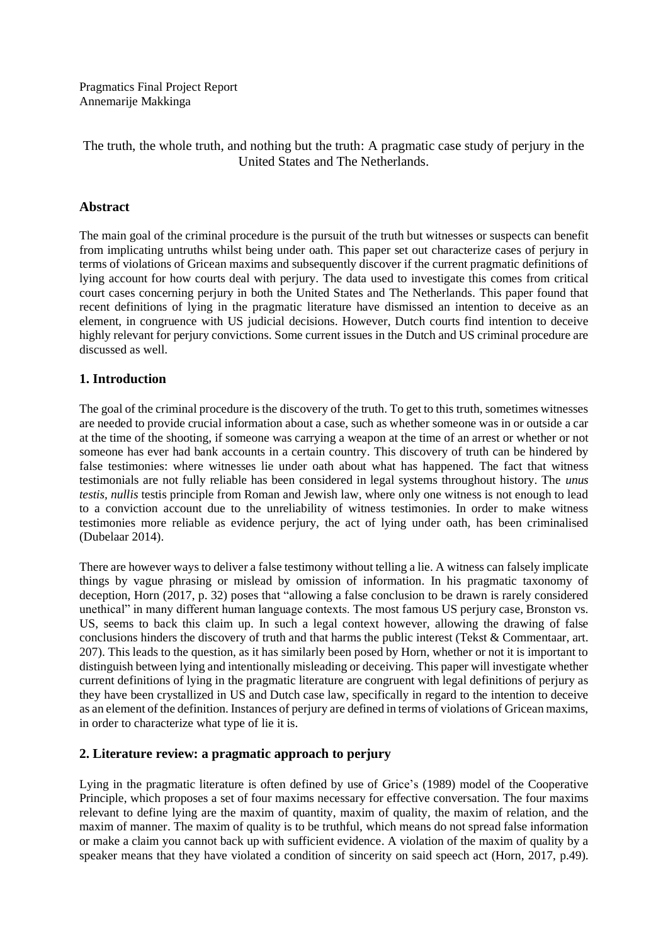Pragmatics Final Project Report Annemarije Makkinga

The truth, the whole truth, and nothing but the truth: A pragmatic case study of perjury in the United States and The Netherlands.

## **Abstract**

The main goal of the criminal procedure is the pursuit of the truth but witnesses or suspects can benefit from implicating untruths whilst being under oath. This paper set out characterize cases of perjury in terms of violations of Gricean maxims and subsequently discover if the current pragmatic definitions of lying account for how courts deal with perjury. The data used to investigate this comes from critical court cases concerning perjury in both the United States and The Netherlands. This paper found that recent definitions of lying in the pragmatic literature have dismissed an intention to deceive as an element, in congruence with US judicial decisions. However, Dutch courts find intention to deceive highly relevant for perjury convictions. Some current issues in the Dutch and US criminal procedure are discussed as well.

# **1. Introduction**

The goal of the criminal procedure is the discovery of the truth. To get to this truth, sometimes witnesses are needed to provide crucial information about a case, such as whether someone was in or outside a car at the time of the shooting, if someone was carrying a weapon at the time of an arrest or whether or not someone has ever had bank accounts in a certain country. This discovery of truth can be hindered by false testimonies: where witnesses lie under oath about what has happened. The fact that witness testimonials are not fully reliable has been considered in legal systems throughout history. The *unus testis, nullis* testis principle from Roman and Jewish law, where only one witness is not enough to lead to a conviction account due to the unreliability of witness testimonies. In order to make witness testimonies more reliable as evidence perjury, the act of lying under oath, has been criminalised (Dubelaar 2014).

There are however ways to deliver a false testimony without telling a lie. A witness can falsely implicate things by vague phrasing or mislead by omission of information. In his pragmatic taxonomy of deception, Horn (2017, p. 32) poses that "allowing a false conclusion to be drawn is rarely considered unethical" in many different human language contexts. The most famous US perjury case, Bronston vs. US, seems to back this claim up. In such a legal context however, allowing the drawing of false conclusions hinders the discovery of truth and that harms the public interest (Tekst  $\&$  Commentaar, art. 207). This leads to the question, as it has similarly been posed by Horn, whether or not it is important to distinguish between lying and intentionally misleading or deceiving. This paper will investigate whether current definitions of lying in the pragmatic literature are congruent with legal definitions of perjury as they have been crystallized in US and Dutch case law, specifically in regard to the intention to deceive as an element of the definition. Instances of perjury are defined in terms of violations of Gricean maxims, in order to characterize what type of lie it is.

## **2. Literature review: a pragmatic approach to perjury**

Lying in the pragmatic literature is often defined by use of Grice's (1989) model of the Cooperative Principle, which proposes a set of four maxims necessary for effective conversation. The four maxims relevant to define lying are the maxim of quantity, maxim of quality, the maxim of relation, and the maxim of manner. The maxim of quality is to be truthful, which means do not spread false information or make a claim you cannot back up with sufficient evidence. A violation of the maxim of quality by a speaker means that they have violated a condition of sincerity on said speech act (Horn, 2017, p.49).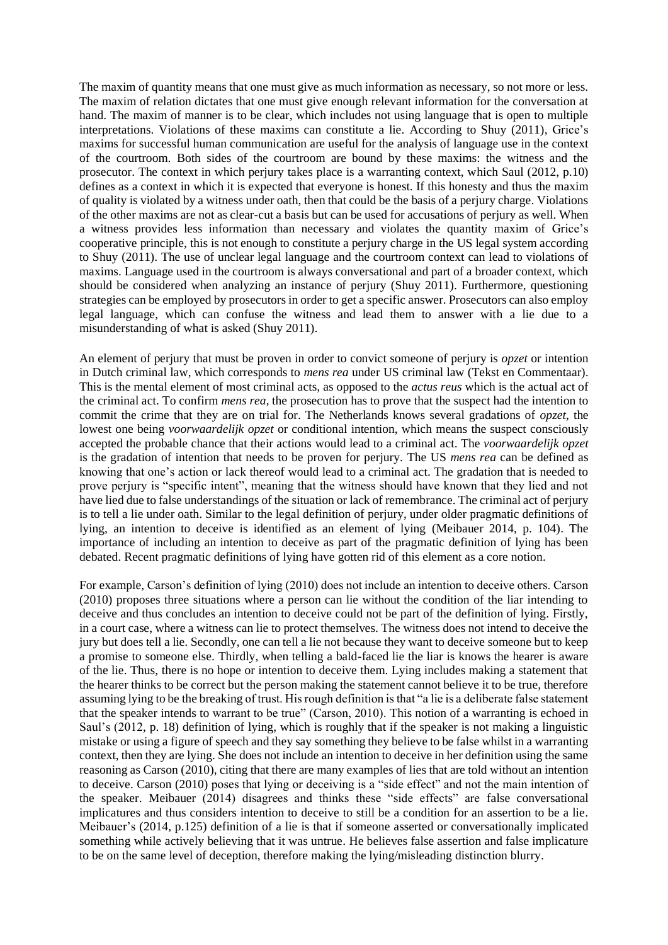The maxim of quantity means that one must give as much information as necessary, so not more or less. The maxim of relation dictates that one must give enough relevant information for the conversation at hand. The maxim of manner is to be clear, which includes not using language that is open to multiple interpretations. Violations of these maxims can constitute a lie. According to Shuy (2011), Grice's maxims for successful human communication are useful for the analysis of language use in the context of the courtroom. Both sides of the courtroom are bound by these maxims: the witness and the prosecutor. The context in which perjury takes place is a warranting context, which Saul (2012, p.10) defines as a context in which it is expected that everyone is honest. If this honesty and thus the maxim of quality is violated by a witness under oath, then that could be the basis of a perjury charge. Violations of the other maxims are not as clear-cut a basis but can be used for accusations of perjury as well. When a witness provides less information than necessary and violates the quantity maxim of Grice's cooperative principle, this is not enough to constitute a perjury charge in the US legal system according to Shuy (2011). The use of unclear legal language and the courtroom context can lead to violations of maxims. Language used in the courtroom is always conversational and part of a broader context, which should be considered when analyzing an instance of perjury (Shuy 2011). Furthermore, questioning strategies can be employed by prosecutors in order to get a specific answer. Prosecutors can also employ legal language, which can confuse the witness and lead them to answer with a lie due to a misunderstanding of what is asked (Shuy 2011).

An element of perjury that must be proven in order to convict someone of perjury is *opzet* or intention in Dutch criminal law, which corresponds to *mens rea* under US criminal law (Tekst en Commentaar). This is the mental element of most criminal acts, as opposed to the *actus reus* which is the actual act of the criminal act. To confirm *mens rea*, the prosecution has to prove that the suspect had the intention to commit the crime that they are on trial for. The Netherlands knows several gradations of *opzet*, the lowest one being *voorwaardelijk opzet* or conditional intention, which means the suspect consciously accepted the probable chance that their actions would lead to a criminal act. The *voorwaardelijk opzet*  is the gradation of intention that needs to be proven for perjury. The US *mens rea* can be defined as knowing that one's action or lack thereof would lead to a criminal act. The gradation that is needed to prove perjury is "specific intent", meaning that the witness should have known that they lied and not have lied due to false understandings of the situation or lack of remembrance. The criminal act of perjury is to tell a lie under oath. Similar to the legal definition of perjury, under older pragmatic definitions of lying, an intention to deceive is identified as an element of lying (Meibauer 2014, p. 104). The importance of including an intention to deceive as part of the pragmatic definition of lying has been debated. Recent pragmatic definitions of lying have gotten rid of this element as a core notion.

For example, Carson's definition of lying (2010) does not include an intention to deceive others. Carson (2010) proposes three situations where a person can lie without the condition of the liar intending to deceive and thus concludes an intention to deceive could not be part of the definition of lying. Firstly, in a court case, where a witness can lie to protect themselves. The witness does not intend to deceive the jury but does tell a lie. Secondly, one can tell a lie not because they want to deceive someone but to keep a promise to someone else. Thirdly, when telling a bald-faced lie the liar is knows the hearer is aware of the lie. Thus, there is no hope or intention to deceive them. Lying includes making a statement that the hearer thinks to be correct but the person making the statement cannot believe it to be true, therefore assuming lying to be the breaking of trust. His rough definition is that "a lie is a deliberate false statement that the speaker intends to warrant to be true" (Carson, 2010). This notion of a warranting is echoed in Saul's (2012, p. 18) definition of lying, which is roughly that if the speaker is not making a linguistic mistake or using a figure of speech and they say something they believe to be false whilst in a warranting context, then they are lying. She does not include an intention to deceive in her definition using the same reasoning as Carson (2010), citing that there are many examples of lies that are told without an intention to deceive. Carson (2010) poses that lying or deceiving is a "side effect" and not the main intention of the speaker. Meibauer (2014) disagrees and thinks these "side effects" are false conversational implicatures and thus considers intention to deceive to still be a condition for an assertion to be a lie. Meibauer's (2014, p.125) definition of a lie is that if someone asserted or conversationally implicated something while actively believing that it was untrue. He believes false assertion and false implicature to be on the same level of deception, therefore making the lying/misleading distinction blurry.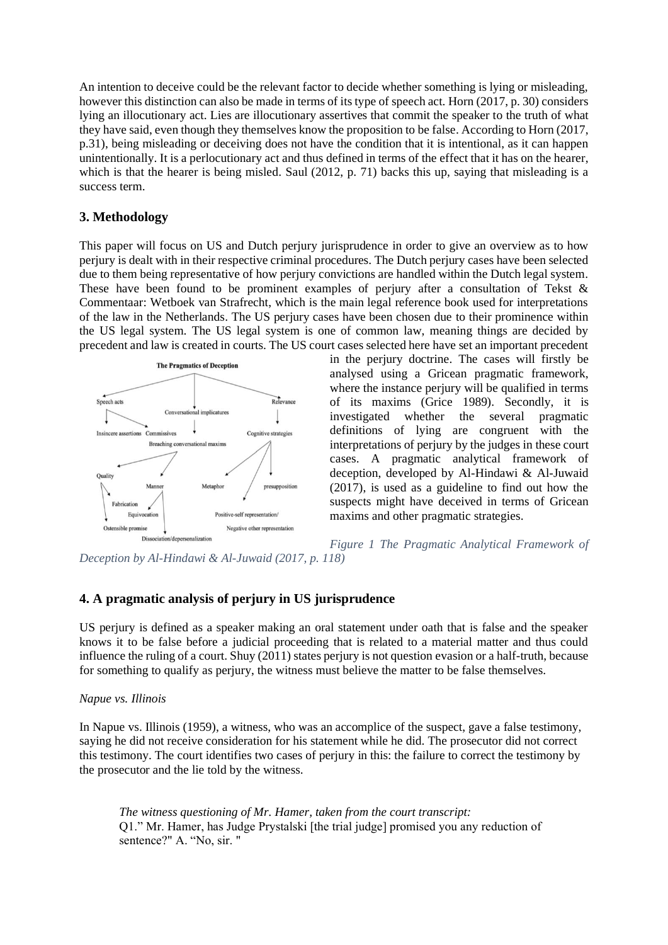An intention to deceive could be the relevant factor to decide whether something is lying or misleading, however this distinction can also be made in terms of its type of speech act. Horn (2017, p. 30) considers lying an illocutionary act. Lies are illocutionary assertives that commit the speaker to the truth of what they have said, even though they themselves know the proposition to be false. According to Horn (2017, p.31), being misleading or deceiving does not have the condition that it is intentional, as it can happen unintentionally. It is a perlocutionary act and thus defined in terms of the effect that it has on the hearer, which is that the hearer is being misled. Saul (2012, p. 71) backs this up, saying that misleading is a success term.

#### **3. Methodology**

This paper will focus on US and Dutch perjury jurisprudence in order to give an overview as to how perjury is dealt with in their respective criminal procedures. The Dutch perjury cases have been selected due to them being representative of how perjury convictions are handled within the Dutch legal system. These have been found to be prominent examples of perjury after a consultation of Tekst & Commentaar: Wetboek van Strafrecht, which is the main legal reference book used for interpretations of the law in the Netherlands. The US perjury cases have been chosen due to their prominence within the US legal system. The US legal system is one of common law, meaning things are decided by precedent and law is created in courts. The US court cases selected here have set an important precedent



in the perjury doctrine. The cases will firstly be analysed using a Gricean pragmatic framework, where the instance perjury will be qualified in terms of its maxims (Grice 1989). Secondly, it is investigated whether the several pragmatic definitions of lying are congruent with the interpretations of perjury by the judges in these court cases. A pragmatic analytical framework of deception, developed by Al-Hindawi & Al-Juwaid (2017), is used as a guideline to find out how the suspects might have deceived in terms of Gricean maxims and other pragmatic strategies.

*Deception by Al-Hindawi & Al-Juwaid (2017, p. 118)*

*Figure 1 The Pragmatic Analytical Framework of* 

## **4. A pragmatic analysis of perjury in US jurisprudence**

US perjury is defined as a speaker making an oral statement under oath that is false and the speaker knows it to be false before a judicial proceeding that is related to a material matter and thus could influence the ruling of a court. Shuy (2011) states perjury is not question evasion or a half-truth, because for something to qualify as perjury, the witness must believe the matter to be false themselves.

#### *Napue vs. Illinois*

In Napue vs. Illinois (1959), a witness, who was an accomplice of the suspect, gave a false testimony, saying he did not receive consideration for his statement while he did. The prosecutor did not correct this testimony. The court identifies two cases of perjury in this: the failure to correct the testimony by the prosecutor and the lie told by the witness.

*The witness questioning of Mr. Hamer, taken from the court transcript:* Q1." Mr. Hamer, has Judge Prystalski [the trial judge] promised you any reduction of sentence?" A. "No, sir. "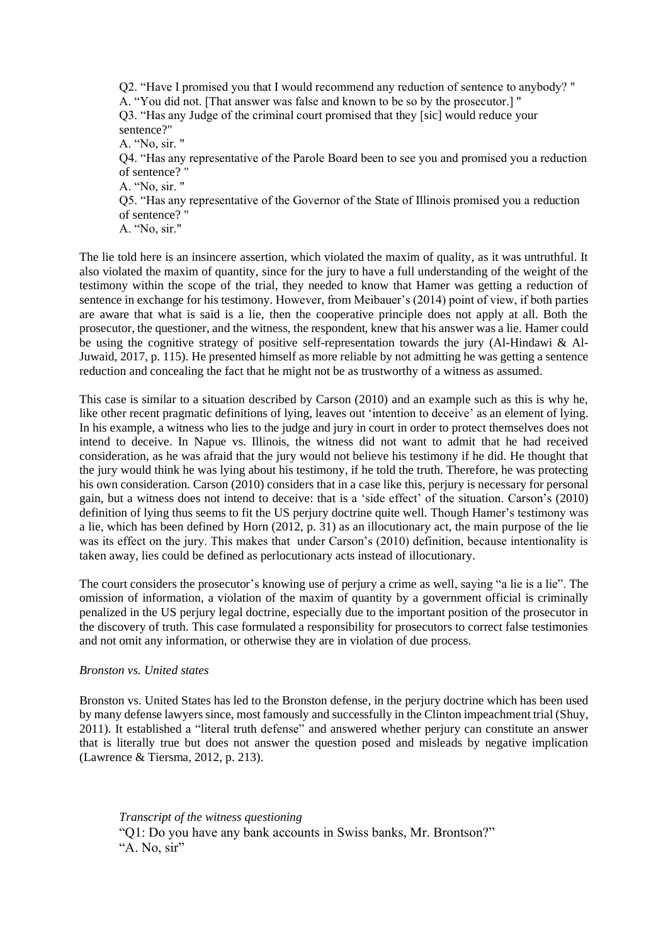Q2. "Have I promised you that I would recommend any reduction of sentence to anybody? " A. "You did not. [That answer was false and known to be so by the prosecutor.] " Q3. "Has any Judge of the criminal court promised that they [sic] would reduce your sentence?" A. "No, sir. " Q4. "Has any representative of the Parole Board been to see you and promised you a reduction of sentence? " A. "No, sir. " Q5. "Has any representative of the Governor of the State of Illinois promised you a reduction of sentence? " A. "No, sir."

The lie told here is an insincere assertion, which violated the maxim of quality, as it was untruthful. It also violated the maxim of quantity, since for the jury to have a full understanding of the weight of the testimony within the scope of the trial, they needed to know that Hamer was getting a reduction of sentence in exchange for his testimony. However, from Meibauer's (2014) point of view, if both parties are aware that what is said is a lie, then the cooperative principle does not apply at all. Both the prosecutor, the questioner, and the witness, the respondent, knew that his answer was a lie. Hamer could be using the cognitive strategy of positive self-representation towards the jury (Al-Hindawi & Al-Juwaid, 2017, p. 115). He presented himself as more reliable by not admitting he was getting a sentence reduction and concealing the fact that he might not be as trustworthy of a witness as assumed.

This case is similar to a situation described by Carson (2010) and an example such as this is why he, like other recent pragmatic definitions of lying, leaves out 'intention to deceive' as an element of lying. In his example, a witness who lies to the judge and jury in court in order to protect themselves does not intend to deceive. In Napue vs. Illinois, the witness did not want to admit that he had received consideration, as he was afraid that the jury would not believe his testimony if he did. He thought that the jury would think he was lying about his testimony, if he told the truth. Therefore, he was protecting his own consideration. Carson (2010) considers that in a case like this, perjury is necessary for personal gain, but a witness does not intend to deceive: that is a 'side effect' of the situation. Carson's (2010) definition of lying thus seems to fit the US perjury doctrine quite well. Though Hamer's testimony was a lie, which has been defined by Horn (2012, p. 31) as an illocutionary act, the main purpose of the lie was its effect on the jury. This makes that under Carson's (2010) definition, because intentionality is taken away, lies could be defined as perlocutionary acts instead of illocutionary.

The court considers the prosecutor's knowing use of perjury a crime as well, saying "a lie is a lie". The omission of information, a violation of the maxim of quantity by a government official is criminally penalized in the US perjury legal doctrine, especially due to the important position of the prosecutor in the discovery of truth. This case formulated a responsibility for prosecutors to correct false testimonies and not omit any information, or otherwise they are in violation of due process.

#### *Bronston vs. United states*

Bronston vs. United States has led to the Bronston defense, in the perjury doctrine which has been used by many defense lawyers since, most famously and successfully in the Clinton impeachment trial (Shuy, 2011). It established a "literal truth defense" and answered whether perjury can constitute an answer that is literally true but does not answer the question posed and misleads by negative implication (Lawrence & Tiersma, 2012, p. 213).

*Transcript of the witness questioning* "Q1: Do you have any bank accounts in Swiss banks, Mr. Brontson?" "A. No. sir"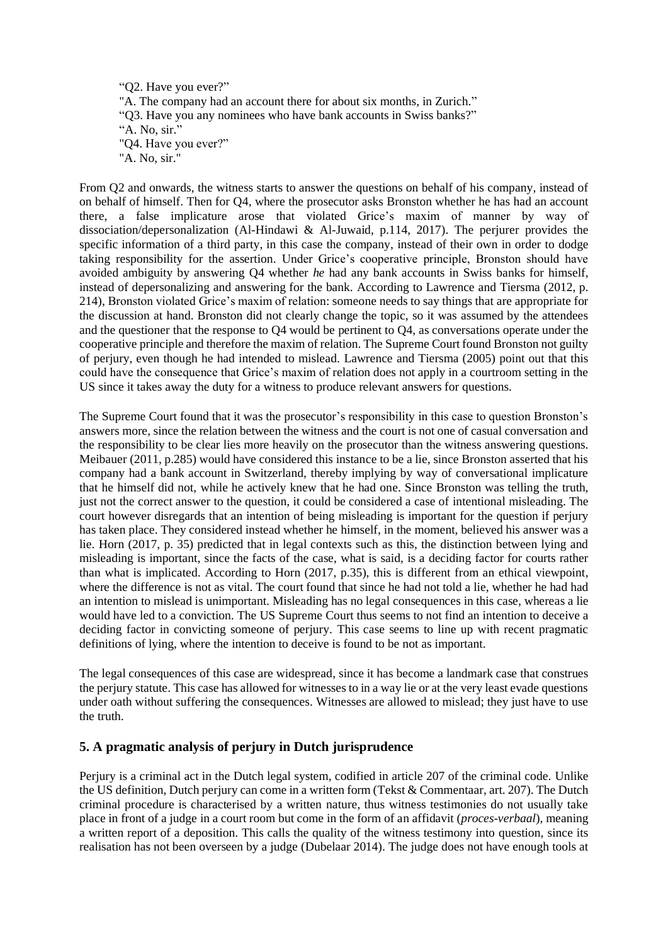"Q2. Have you ever?" "A. The company had an account there for about six months, in Zurich." "Q3. Have you any nominees who have bank accounts in Swiss banks?" "A. No, sir." "Q4. Have you ever?" "A. No, sir."

From Q2 and onwards, the witness starts to answer the questions on behalf of his company, instead of on behalf of himself. Then for Q4, where the prosecutor asks Bronston whether he has had an account there, a false implicature arose that violated Grice's maxim of manner by way of dissociation/depersonalization (Al-Hindawi & Al-Juwaid, p.114, 2017). The perjurer provides the specific information of a third party, in this case the company, instead of their own in order to dodge taking responsibility for the assertion. Under Grice's cooperative principle, Bronston should have avoided ambiguity by answering Q4 whether *he* had any bank accounts in Swiss banks for himself, instead of depersonalizing and answering for the bank. According to Lawrence and Tiersma (2012, p. 214), Bronston violated Grice's maxim of relation: someone needs to say things that are appropriate for the discussion at hand. Bronston did not clearly change the topic, so it was assumed by the attendees and the questioner that the response to Q4 would be pertinent to Q4, as conversations operate under the cooperative principle and therefore the maxim of relation. The Supreme Court found Bronston not guilty of perjury, even though he had intended to mislead. Lawrence and Tiersma (2005) point out that this could have the consequence that Grice's maxim of relation does not apply in a courtroom setting in the US since it takes away the duty for a witness to produce relevant answers for questions.

The Supreme Court found that it was the prosecutor's responsibility in this case to question Bronston's answers more, since the relation between the witness and the court is not one of casual conversation and the responsibility to be clear lies more heavily on the prosecutor than the witness answering questions. Meibauer (2011, p.285) would have considered this instance to be a lie, since Bronston asserted that his company had a bank account in Switzerland, thereby implying by way of conversational implicature that he himself did not, while he actively knew that he had one. Since Bronston was telling the truth, just not the correct answer to the question, it could be considered a case of intentional misleading. The court however disregards that an intention of being misleading is important for the question if perjury has taken place. They considered instead whether he himself, in the moment, believed his answer was a lie. Horn (2017, p. 35) predicted that in legal contexts such as this, the distinction between lying and misleading is important, since the facts of the case, what is said, is a deciding factor for courts rather than what is implicated. According to Horn (2017, p.35), this is different from an ethical viewpoint, where the difference is not as vital. The court found that since he had not told a lie, whether he had had an intention to mislead is unimportant. Misleading has no legal consequences in this case, whereas a lie would have led to a conviction. The US Supreme Court thus seems to not find an intention to deceive a deciding factor in convicting someone of perjury. This case seems to line up with recent pragmatic definitions of lying, where the intention to deceive is found to be not as important.

The legal consequences of this case are widespread, since it has become a landmark case that construes the perjury statute. This case has allowed for witnesses to in a way lie or at the very least evade questions under oath without suffering the consequences. Witnesses are allowed to mislead; they just have to use the truth.

## **5. A pragmatic analysis of perjury in Dutch jurisprudence**

Perjury is a criminal act in the Dutch legal system, codified in article 207 of the criminal code. Unlike the US definition, Dutch perjury can come in a written form (Tekst & Commentaar, art. 207). The Dutch criminal procedure is characterised by a written nature, thus witness testimonies do not usually take place in front of a judge in a court room but come in the form of an affidavit (*proces-verbaal*), meaning a written report of a deposition. This calls the quality of the witness testimony into question, since its realisation has not been overseen by a judge (Dubelaar 2014). The judge does not have enough tools at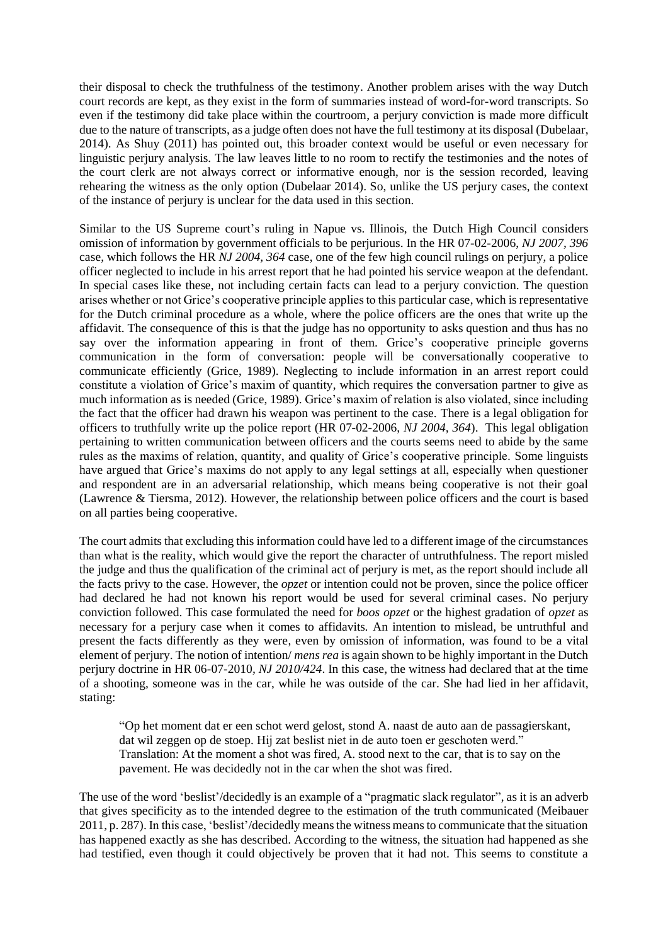their disposal to check the truthfulness of the testimony. Another problem arises with the way Dutch court records are kept, as they exist in the form of summaries instead of word-for-word transcripts. So even if the testimony did take place within the courtroom, a perjury conviction is made more difficult due to the nature of transcripts, as a judge often does not have the full testimony at its disposal (Dubelaar, 2014). As Shuy (2011) has pointed out, this broader context would be useful or even necessary for linguistic perjury analysis. The law leaves little to no room to rectify the testimonies and the notes of the court clerk are not always correct or informative enough, nor is the session recorded, leaving rehearing the witness as the only option (Dubelaar 2014). So, unlike the US perjury cases, the context of the instance of perjury is unclear for the data used in this section.

Similar to the US Supreme court's ruling in Napue vs. Illinois, the Dutch High Council considers omission of information by government officials to be perjurious. In the HR 07-02-2006, *NJ 2007, 396* case, which follows the HR *NJ 2004, 364* case, one of the few high council rulings on perjury, a police officer neglected to include in his arrest report that he had pointed his service weapon at the defendant. In special cases like these, not including certain facts can lead to a perjury conviction. The question arises whether or not Grice's cooperative principle applies to this particular case, which is representative for the Dutch criminal procedure as a whole, where the police officers are the ones that write up the affidavit. The consequence of this is that the judge has no opportunity to asks question and thus has no say over the information appearing in front of them. Grice's cooperative principle governs communication in the form of conversation: people will be conversationally cooperative to communicate efficiently (Grice, 1989). Neglecting to include information in an arrest report could constitute a violation of Grice's maxim of quantity, which requires the conversation partner to give as much information as is needed (Grice, 1989). Grice's maxim of relation is also violated, since including the fact that the officer had drawn his weapon was pertinent to the case. There is a legal obligation for officers to truthfully write up the police report (HR 07-02-2006, *NJ 2004, 364*). This legal obligation pertaining to written communication between officers and the courts seems need to abide by the same rules as the maxims of relation, quantity, and quality of Grice's cooperative principle. Some linguists have argued that Grice's maxims do not apply to any legal settings at all, especially when questioner and respondent are in an adversarial relationship, which means being cooperative is not their goal (Lawrence & Tiersma, 2012). However, the relationship between police officers and the court is based on all parties being cooperative.

The court admits that excluding this information could have led to a different image of the circumstances than what is the reality, which would give the report the character of untruthfulness. The report misled the judge and thus the qualification of the criminal act of perjury is met, as the report should include all the facts privy to the case. However, the *opzet* or intention could not be proven, since the police officer had declared he had not known his report would be used for several criminal cases. No perjury conviction followed. This case formulated the need for *boos opzet* or the highest gradation of *opzet* as necessary for a perjury case when it comes to affidavits. An intention to mislead, be untruthful and present the facts differently as they were, even by omission of information, was found to be a vital element of perjury. The notion of intention/ *mens rea* is again shown to be highly important in the Dutch perjury doctrine in HR 06-07-2010*, NJ 2010/424*. In this case, the witness had declared that at the time of a shooting, someone was in the car, while he was outside of the car. She had lied in her affidavit, stating:

"Op het moment dat er een schot werd gelost, stond A. naast de auto aan de passagierskant, dat wil zeggen op de stoep. Hij zat beslist niet in de auto toen er geschoten werd." Translation: At the moment a shot was fired, A. stood next to the car, that is to say on the pavement. He was decidedly not in the car when the shot was fired.

The use of the word 'beslist'/decidedly is an example of a "pragmatic slack regulator", as it is an adverb that gives specificity as to the intended degree to the estimation of the truth communicated (Meibauer 2011, p. 287). In this case, 'beslist'/decidedly means the witness means to communicate that the situation has happened exactly as she has described. According to the witness, the situation had happened as she had testified, even though it could objectively be proven that it had not. This seems to constitute a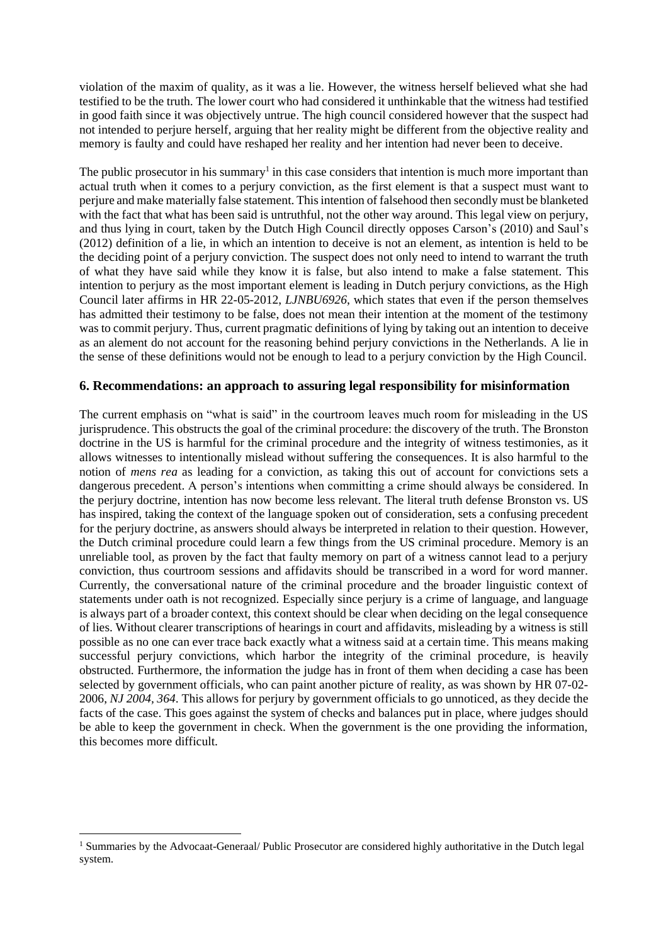violation of the maxim of quality, as it was a lie. However, the witness herself believed what she had testified to be the truth. The lower court who had considered it unthinkable that the witness had testified in good faith since it was objectively untrue. The high council considered however that the suspect had not intended to perjure herself, arguing that her reality might be different from the objective reality and memory is faulty and could have reshaped her reality and her intention had never been to deceive.

The public prosecutor in his summary<sup>1</sup> in this case considers that intention is much more important than actual truth when it comes to a perjury conviction, as the first element is that a suspect must want to perjure and make materially false statement. This intention of falsehood then secondly must be blanketed with the fact that what has been said is untruthful, not the other way around. This legal view on perjury, and thus lying in court, taken by the Dutch High Council directly opposes Carson's (2010) and Saul's (2012) definition of a lie, in which an intention to deceive is not an element, as intention is held to be the deciding point of a perjury conviction. The suspect does not only need to intend to warrant the truth of what they have said while they know it is false, but also intend to make a false statement. This intention to perjury as the most important element is leading in Dutch perjury convictions, as the High Council later affirms in HR 22-05-2012, *LJNBU6926*, which states that even if the person themselves has admitted their testimony to be false, does not mean their intention at the moment of the testimony was to commit perjury. Thus, current pragmatic definitions of lying by taking out an intention to deceive as an alement do not account for the reasoning behind perjury convictions in the Netherlands. A lie in the sense of these definitions would not be enough to lead to a perjury conviction by the High Council.

### **6. Recommendations: an approach to assuring legal responsibility for misinformation**

The current emphasis on "what is said" in the courtroom leaves much room for misleading in the US jurisprudence. This obstructs the goal of the criminal procedure: the discovery of the truth. The Bronston doctrine in the US is harmful for the criminal procedure and the integrity of witness testimonies, as it allows witnesses to intentionally mislead without suffering the consequences. It is also harmful to the notion of *mens rea* as leading for a conviction, as taking this out of account for convictions sets a dangerous precedent. A person's intentions when committing a crime should always be considered. In the perjury doctrine, intention has now become less relevant. The literal truth defense Bronston vs. US has inspired, taking the context of the language spoken out of consideration, sets a confusing precedent for the perjury doctrine, as answers should always be interpreted in relation to their question. However, the Dutch criminal procedure could learn a few things from the US criminal procedure. Memory is an unreliable tool, as proven by the fact that faulty memory on part of a witness cannot lead to a perjury conviction, thus courtroom sessions and affidavits should be transcribed in a word for word manner. Currently, the conversational nature of the criminal procedure and the broader linguistic context of statements under oath is not recognized. Especially since perjury is a crime of language, and language is always part of a broader context, this context should be clear when deciding on the legal consequence of lies. Without clearer transcriptions of hearings in court and affidavits, misleading by a witness is still possible as no one can ever trace back exactly what a witness said at a certain time. This means making successful perjury convictions, which harbor the integrity of the criminal procedure, is heavily obstructed. Furthermore, the information the judge has in front of them when deciding a case has been selected by government officials, who can paint another picture of reality, as was shown by HR 07-02- 2006, *NJ 2004, 364*. This allows for perjury by government officials to go unnoticed, as they decide the facts of the case. This goes against the system of checks and balances put in place, where judges should be able to keep the government in check. When the government is the one providing the information, this becomes more difficult.

<sup>&</sup>lt;sup>1</sup> Summaries by the Advocaat-Generaal/ Public Prosecutor are considered highly authoritative in the Dutch legal system.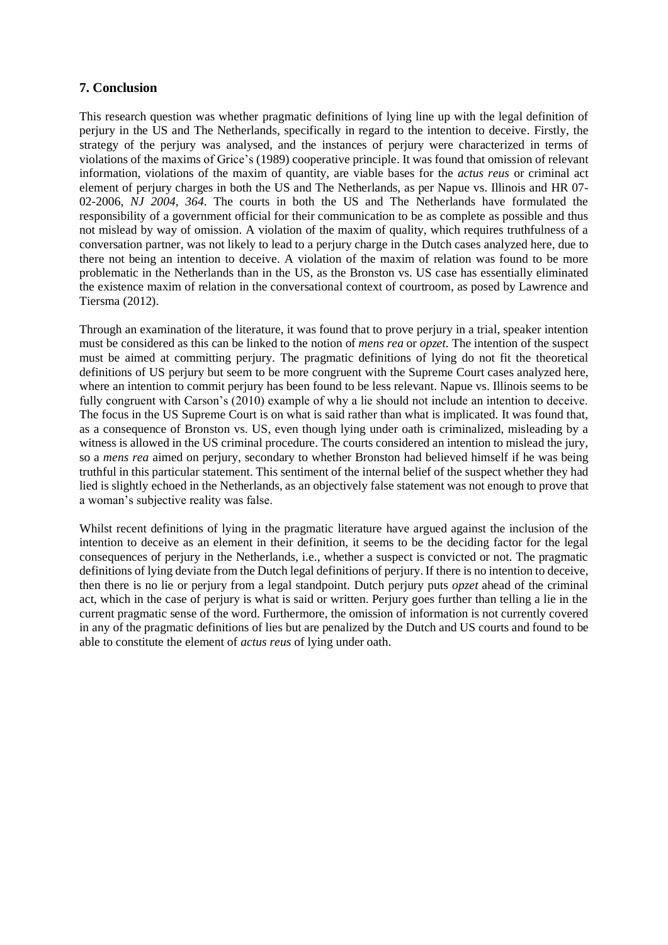# **7. Conclusion**

This research question was whether pragmatic definitions of lying line up with the legal definition of perjury in the US and The Netherlands, specifically in regard to the intention to deceive. Firstly, the strategy of the perjury was analysed, and the instances of perjury were characterized in terms of violations of the maxims of Grice's (1989) cooperative principle. It was found that omission of relevant information, violations of the maxim of quantity, are viable bases for the *actus reus* or criminal act element of perjury charges in both the US and The Netherlands, as per Napue vs. Illinois and HR 07- 02-2006, *NJ 2004, 364*. The courts in both the US and The Netherlands have formulated the responsibility of a government official for their communication to be as complete as possible and thus not mislead by way of omission. A violation of the maxim of quality, which requires truthfulness of a conversation partner, was not likely to lead to a perjury charge in the Dutch cases analyzed here, due to there not being an intention to deceive. A violation of the maxim of relation was found to be more problematic in the Netherlands than in the US, as the Bronston vs. US case has essentially eliminated the existence maxim of relation in the conversational context of courtroom, as posed by Lawrence and Tiersma (2012).

Through an examination of the literature, it was found that to prove perjury in a trial, speaker intention must be considered as this can be linked to the notion of *mens rea* or *opzet*. The intention of the suspect must be aimed at committing perjury. The pragmatic definitions of lying do not fit the theoretical definitions of US perjury but seem to be more congruent with the Supreme Court cases analyzed here, where an intention to commit perjury has been found to be less relevant. Napue vs. Illinois seems to be fully congruent with Carson's (2010) example of why a lie should not include an intention to deceive. The focus in the US Supreme Court is on what is said rather than what is implicated. It was found that, as a consequence of Bronston vs. US, even though lying under oath is criminalized, misleading by a witness is allowed in the US criminal procedure. The courts considered an intention to mislead the jury, so a *mens rea* aimed on perjury, secondary to whether Bronston had believed himself if he was being truthful in this particular statement. This sentiment of the internal belief of the suspect whether they had lied is slightly echoed in the Netherlands, as an objectively false statement was not enough to prove that a woman's subjective reality was false.

Whilst recent definitions of lying in the pragmatic literature have argued against the inclusion of the intention to deceive as an element in their definition, it seems to be the deciding factor for the legal consequences of perjury in the Netherlands, i.e., whether a suspect is convicted or not. The pragmatic definitions of lying deviate from the Dutch legal definitions of perjury. If there is no intention to deceive, then there is no lie or perjury from a legal standpoint. Dutch perjury puts *opzet* ahead of the criminal act, which in the case of perjury is what is said or written. Perjury goes further than telling a lie in the current pragmatic sense of the word. Furthermore, the omission of information is not currently covered in any of the pragmatic definitions of lies but are penalized by the Dutch and US courts and found to be able to constitute the element of *actus reus* of lying under oath.